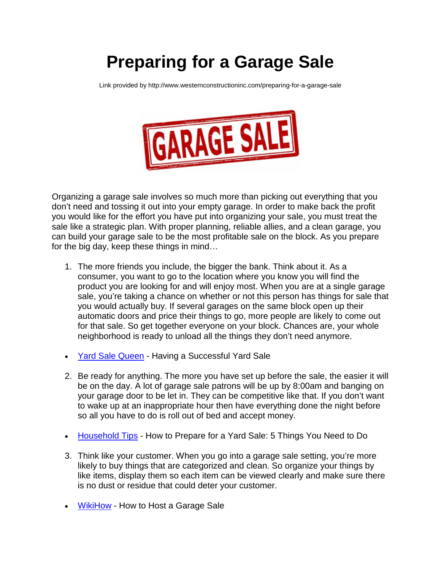## **Preparing for a Garage Sale**

Link provided by http://www.westernconstructioninc.com/preparing-for-a-garage-sale



Organizing a garage sale involves so much more than picking out everything that you don't need and tossing it out into your empty garage. In order to make back the profit you would like for the effort you have put into organizing your sale, you must treat the sale like a strategic plan. With proper planning, reliable allies, and a clean garage, you can build your garage sale to be the most profitable sale on the block. As you prepare for the big day, keep these things in mind…

- 1. The more friends you include, the bigger the bank. Think about it. As a consumer, you want to go to the location where you know you will find the product you are looking for and will enjoy most. When you are at a single garage sale, you're taking a chance on whether or not this person has things for sale that you would actually buy. If several garages on the same block open up their automatic doors and price their things to go, more people are likely to come out for that sale. So get together everyone on your block. Chances are, your whole neighborhood is ready to unload all the things they don't need anymore.
- [Yard Sale Queen](http://www.yardsalequeen.com/yardsale.htm) Having a Successful Yard Sale
- 2. Be ready for anything. The more you have set up before the sale, the easier it will be on the day. A lot of garage sale patrons will be up by 8:00am and banging on your garage door to be let in. They can be competitive like that. If you don't want to wake up at an inappropriate hour then have everything done the night before so all you have to do is roll out of bed and accept money.
- [Household Tips](http://household-tips.thefuntimesguide.com/2007/06/garage_sale_tips_yard_sales.php) How to Prepare for a Yard Sale: 5 Things You Need to Do
- 3. Think like your customer. When you go into a garage sale setting, you're more likely to buy things that are categorized and clean. So organize your things by like items, display them so each item can be viewed clearly and make sure there is no dust or residue that could deter your customer.
- **[WikiHow](http://www.wikihow.com/Hold-a-Garage-Sale)** How to Host a Garage Sale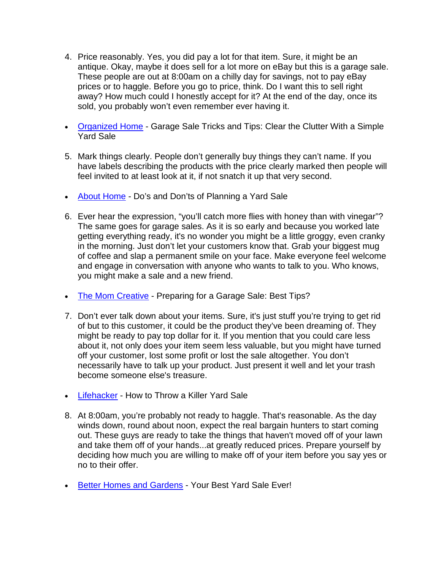- 4. Price reasonably. Yes, you did pay a lot for that item. Sure, it might be an antique. Okay, maybe it does sell for a lot more on eBay but this is a garage sale. These people are out at 8:00am on a chilly day for savings, not to pay eBay prices or to haggle. Before you go to price, think. Do I want this to sell right away? How much could I honestly accept for it? At the end of the day, once its sold, you probably won't even remember ever having it.
- [Organized Home](http://www.wikihow.com/Hold-a-Garage-Sale) Garage Sale Tricks and Tips: Clear the Clutter With a Simple Yard Sale
- 5. Mark things clearly. People don't generally buy things they can't name. If you have labels describing the products with the price clearly marked then people will feel invited to at least look at it, if not snatch it up that very second.
- [About Home](http://fleamarket.about.com/od/sellingbasics/qt/Dos-And-Do-Nots-For-Planning-A-Yard-Sale.htm) Do's and Don'ts of Planning a Yard Sale
- 6. Ever hear the expression, "you'll catch more flies with honey than with vinegar"? The same goes for garage sales. As it is so early and because you worked late getting everything ready, it's no wonder you might be a little groggy, even cranky in the morning. Just don't let your customers know that. Grab your biggest mug of coffee and slap a permanent smile on your face. Make everyone feel welcome and engage in conversation with anyone who wants to talk to you. Who knows, you might make a sale and a new friend.
- [The Mom Creative](http://www.themomcreative.com/2013/05/preparing-for-a-garage-sale-best-tips.html) Preparing for a Garage Sale: Best Tips?
- 7. Don't ever talk down about your items. Sure, it's just stuff you're trying to get rid of but to this customer, it could be the product they've been dreaming of. They might be ready to pay top dollar for it. If you mention that you could care less about it, not only does your item seem less valuable, but you might have turned off your customer, lost some profit or lost the sale altogether. You don't necessarily have to talk up your product. Just present it well and let your trash become someone else's treasure.
- [Lifehacker](http://lifehacker.com/5894794/how-to-throw-a-killer-garage-sale) How to Throw a Killer Yard Sale
- 8. At 8:00am, you're probably not ready to haggle. That's reasonable. As the day winds down, round about noon, expect the real bargain hunters to start coming out. These guys are ready to take the things that haven't moved off of your lawn and take them off of your hands...at greatly reduced prices. Prepare yourself by deciding how much you are willing to make off of your item before you say yes or no to their offer.
- [Better Homes and Gardens](http://www.bhg.com/health-family/finances/tips/your-best-yard-sale-ever/) Your Best Yard Sale Ever!